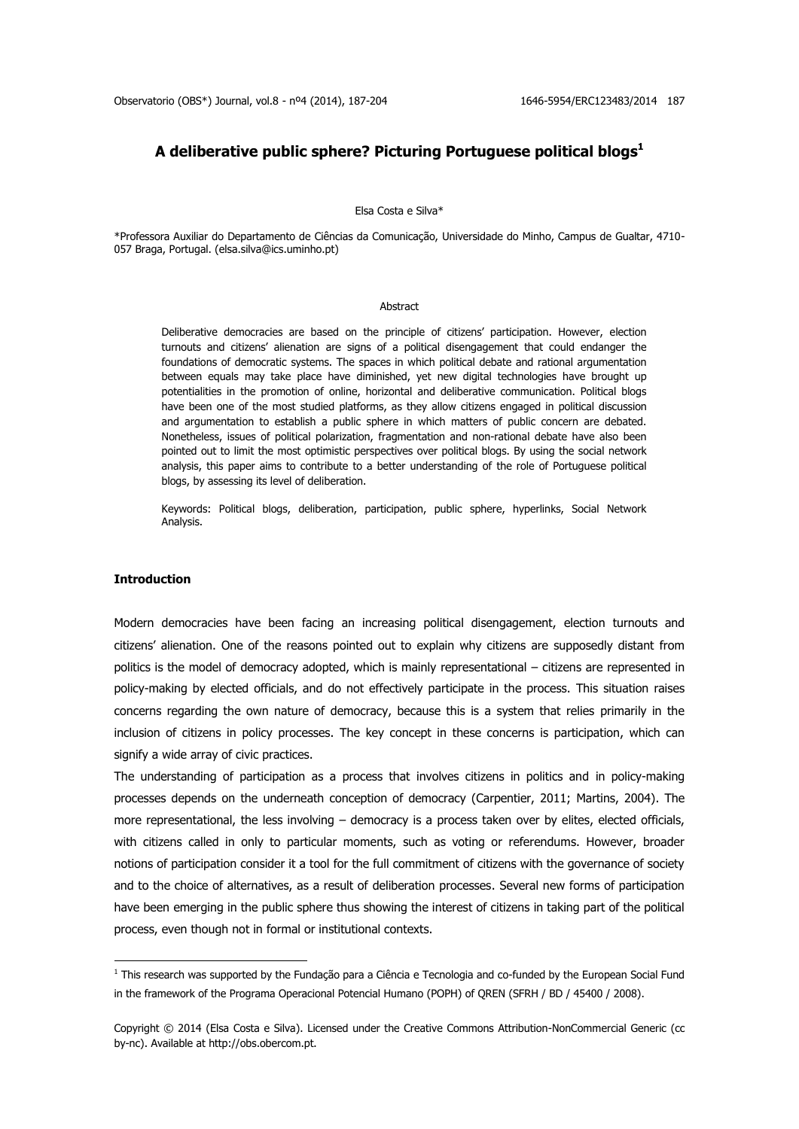## **A deliberative public sphere? Picturing Portuguese political blogs<sup>1</sup>**

#### Elsa Costa e Silva\*

\*Professora Auxiliar do Departamento de Ciências da Comunicação, Universidade do Minho, Campus de Gualtar, 4710- 057 Braga, Portugal. (elsa.silva@ics.uminho.pt)

#### Abstract

Deliberative democracies are based on the principle of citizens' participation. However, election turnouts and citizens' alienation are signs of a political disengagement that could endanger the foundations of democratic systems. The spaces in which political debate and rational argumentation between equals may take place have diminished, yet new digital technologies have brought up potentialities in the promotion of online, horizontal and deliberative communication. Political blogs have been one of the most studied platforms, as they allow citizens engaged in political discussion and argumentation to establish a public sphere in which matters of public concern are debated. Nonetheless, issues of political polarization, fragmentation and non-rational debate have also been pointed out to limit the most optimistic perspectives over political blogs. By using the social network analysis, this paper aims to contribute to a better understanding of the role of Portuguese political blogs, by assessing its level of deliberation.

Keywords: Political blogs, deliberation, participation, public sphere, hyperlinks, Social Network Analysis.

## **Introduction**

**.** 

Modern democracies have been facing an increasing political disengagement, election turnouts and citizens' alienation. One of the reasons pointed out to explain why citizens are supposedly distant from politics is the model of democracy adopted, which is mainly representational – citizens are represented in policy-making by elected officials, and do not effectively participate in the process. This situation raises concerns regarding the own nature of democracy, because this is a system that relies primarily in the inclusion of citizens in policy processes. The key concept in these concerns is participation, which can signify a wide array of civic practices.

The understanding of participation as a process that involves citizens in politics and in policy-making processes depends on the underneath conception of democracy (Carpentier, 2011; Martins, 2004). The more representational, the less involving – democracy is a process taken over by elites, elected officials, with citizens called in only to particular moments, such as voting or referendums. However, broader notions of participation consider it a tool for the full commitment of citizens with the governance of society and to the choice of alternatives, as a result of deliberation processes. Several new forms of participation have been emerging in the public sphere thus showing the interest of citizens in taking part of the political process, even though not in formal or institutional contexts.

 $1$  This research was supported by the Fundação para a Ciência e Tecnologia and co-funded by the European Social Fund in the framework of the Programa Operacional Potencial Humano (POPH) of QREN (SFRH / BD / 45400 / 2008).

Copyright © 2014 (Elsa Costa e Silva). Licensed under the Creative Commons Attribution-NonCommercial Generic (cc by-nc). Available at http://obs.obercom.pt.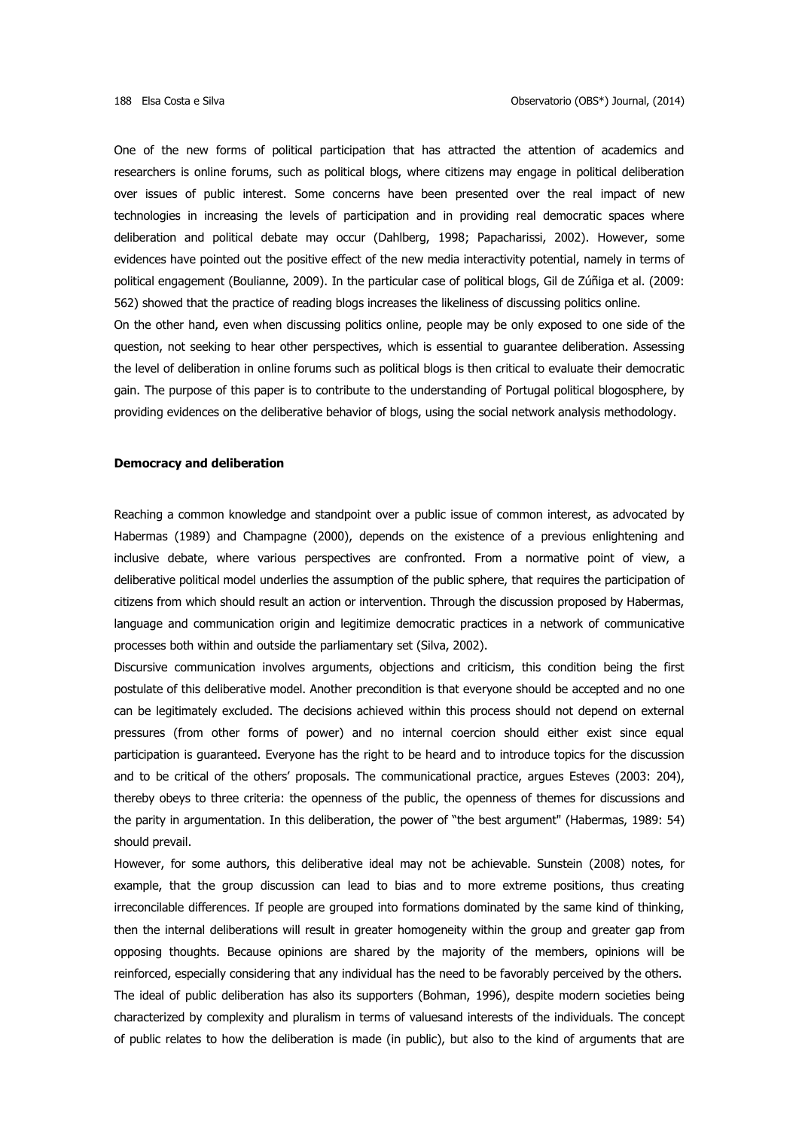One of the new forms of political participation that has attracted the attention of academics and researchers is online forums, such as political blogs, where citizens may engage in political deliberation over issues of public interest. Some concerns have been presented over the real impact of new technologies in increasing the levels of participation and in providing real democratic spaces where deliberation and political debate may occur (Dahlberg, 1998; Papacharissi, 2002). However, some evidences have pointed out the positive effect of the new media interactivity potential, namely in terms of political engagement (Boulianne, 2009). In the particular case of political blogs, Gil de Zúñiga et al. (2009: 562) showed that the practice of reading blogs increases the likeliness of discussing politics online. On the other hand, even when discussing politics online, people may be only exposed to one side of the question, not seeking to hear other perspectives, which is essential to guarantee deliberation. Assessing the level of deliberation in online forums such as political blogs is then critical to evaluate their democratic gain. The purpose of this paper is to contribute to the understanding of Portugal political blogosphere, by

providing evidences on the deliberative behavior of blogs, using the social network analysis methodology.

## **Democracy and deliberation**

Reaching a common knowledge and standpoint over a public issue of common interest, as advocated by Habermas (1989) and Champagne (2000), depends on the existence of a previous enlightening and inclusive debate, where various perspectives are confronted. From a normative point of view, a deliberative political model underlies the assumption of the public sphere, that requires the participation of citizens from which should result an action or intervention. Through the discussion proposed by Habermas, language and communication origin and legitimize democratic practices in a network of communicative processes both within and outside the parliamentary set (Silva, 2002).

Discursive communication involves arguments, objections and criticism, this condition being the first postulate of this deliberative model. Another precondition is that everyone should be accepted and no one can be legitimately excluded. The decisions achieved within this process should not depend on external pressures (from other forms of power) and no internal coercion should either exist since equal participation is guaranteed. Everyone has the right to be heard and to introduce topics for the discussion and to be critical of the others' proposals. The communicational practice, argues Esteves (2003: 204), thereby obeys to three criteria: the openness of the public, the openness of themes for discussions and the parity in argumentation. In this deliberation, the power of "the best argument" (Habermas, 1989: 54) should prevail.

However, for some authors, this deliberative ideal may not be achievable. Sunstein (2008) notes, for example, that the group discussion can lead to bias and to more extreme positions, thus creating irreconcilable differences. If people are grouped into formations dominated by the same kind of thinking, then the internal deliberations will result in greater homogeneity within the group and greater gap from opposing thoughts. Because opinions are shared by the majority of the members, opinions will be reinforced, especially considering that any individual has the need to be favorably perceived by the others. The ideal of public deliberation has also its supporters (Bohman, 1996), despite modern societies being characterized by complexity and pluralism in terms of valuesand interests of the individuals. The concept of public relates to how the deliberation is made (in public), but also to the kind of arguments that are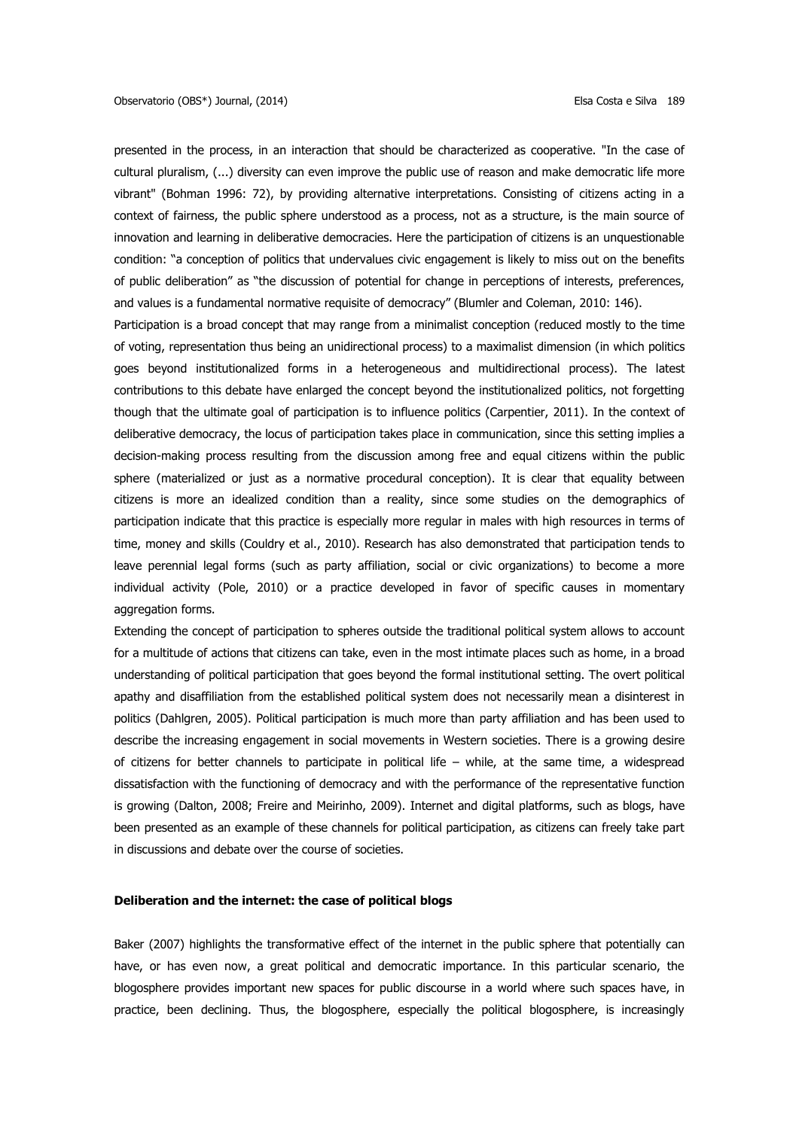presented in the process, in an interaction that should be characterized as cooperative. "In the case of cultural pluralism, (...) diversity can even improve the public use of reason and make democratic life more vibrant" (Bohman 1996: 72), by providing alternative interpretations. Consisting of citizens acting in a context of fairness, the public sphere understood as a process, not as a structure, is the main source of innovation and learning in deliberative democracies. Here the participation of citizens is an unquestionable condition: "a conception of politics that undervalues civic engagement is likely to miss out on the benefits of public deliberation" as "the discussion of potential for change in perceptions of interests, preferences, and values is a fundamental normative requisite of democracy" (Blumler and Coleman, 2010: 146).

Participation is a broad concept that may range from a minimalist conception (reduced mostly to the time of voting, representation thus being an unidirectional process) to a maximalist dimension (in which politics goes beyond institutionalized forms in a heterogeneous and multidirectional process). The latest contributions to this debate have enlarged the concept beyond the institutionalized politics, not forgetting though that the ultimate goal of participation is to influence politics (Carpentier, 2011). In the context of deliberative democracy, the locus of participation takes place in communication, since this setting implies a decision-making process resulting from the discussion among free and equal citizens within the public sphere (materialized or just as a normative procedural conception). It is clear that equality between citizens is more an idealized condition than a reality, since some studies on the demographics of participation indicate that this practice is especially more regular in males with high resources in terms of time, money and skills (Couldry et al., 2010). Research has also demonstrated that participation tends to leave perennial legal forms (such as party affiliation, social or civic organizations) to become a more individual activity (Pole, 2010) or a practice developed in favor of specific causes in momentary aggregation forms.

Extending the concept of participation to spheres outside the traditional political system allows to account for a multitude of actions that citizens can take, even in the most intimate places such as home, in a broad understanding of political participation that goes beyond the formal institutional setting. The overt political apathy and disaffiliation from the established political system does not necessarily mean a disinterest in politics (Dahlgren, 2005). Political participation is much more than party affiliation and has been used to describe the increasing engagement in social movements in Western societies. There is a growing desire of citizens for better channels to participate in political life – while, at the same time, a widespread dissatisfaction with the functioning of democracy and with the performance of the representative function is growing (Dalton, 2008; Freire and Meirinho, 2009). Internet and digital platforms, such as blogs, have been presented as an example of these channels for political participation, as citizens can freely take part in discussions and debate over the course of societies.

## **Deliberation and the internet: the case of political blogs**

Baker (2007) highlights the transformative effect of the internet in the public sphere that potentially can have, or has even now, a great political and democratic importance. In this particular scenario, the blogosphere provides important new spaces for public discourse in a world where such spaces have, in practice, been declining. Thus, the blogosphere, especially the political blogosphere, is increasingly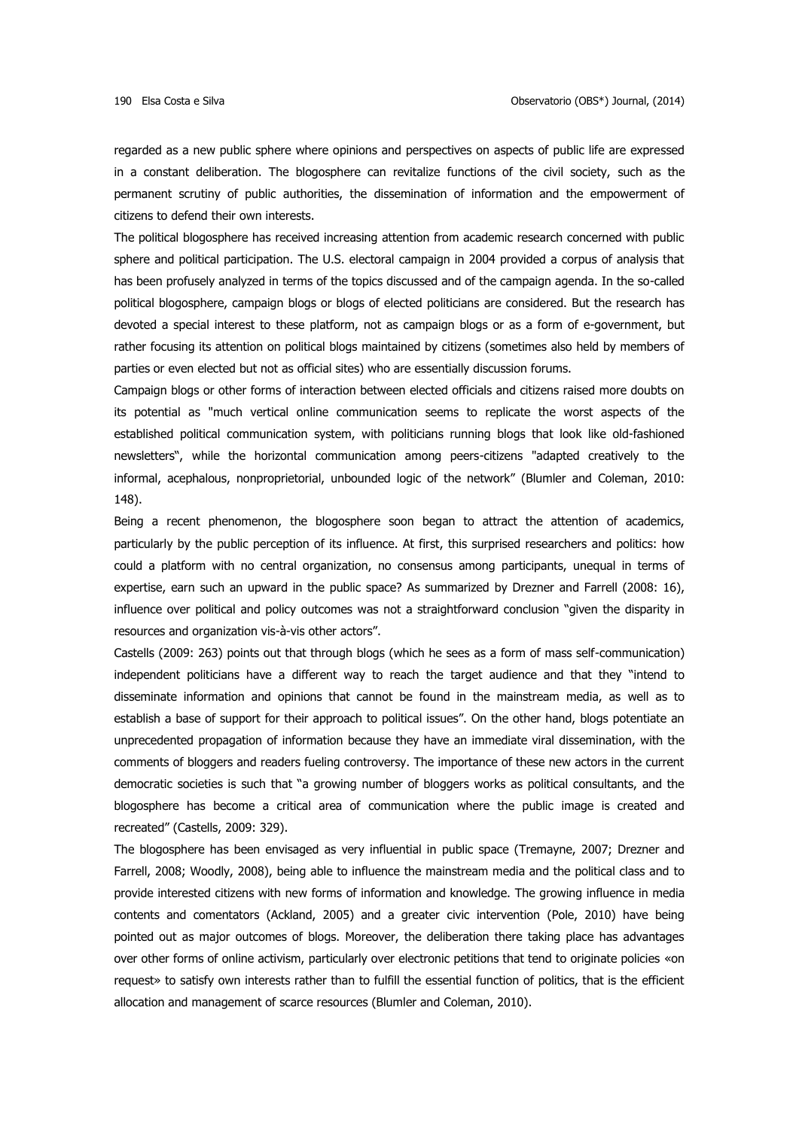regarded as a new public sphere where opinions and perspectives on aspects of public life are expressed in a constant deliberation. The blogosphere can revitalize functions of the civil society, such as the permanent scrutiny of public authorities, the dissemination of information and the empowerment of citizens to defend their own interests.

The political blogosphere has received increasing attention from academic research concerned with public sphere and political participation. The U.S. electoral campaign in 2004 provided a corpus of analysis that has been profusely analyzed in terms of the topics discussed and of the campaign agenda. In the so-called political blogosphere, campaign blogs or blogs of elected politicians are considered. But the research has devoted a special interest to these platform, not as campaign blogs or as a form of e-government, but rather focusing its attention on political blogs maintained by citizens (sometimes also held by members of parties or even elected but not as official sites) who are essentially discussion forums.

Campaign blogs or other forms of interaction between elected officials and citizens raised more doubts on its potential as "much vertical online communication seems to replicate the worst aspects of the established political communication system, with politicians running blogs that look like old-fashioned newsletters", while the horizontal communication among peers-citizens "adapted creatively to the informal, acephalous, nonproprietorial, unbounded logic of the network" (Blumler and Coleman, 2010: 148).

Being a recent phenomenon, the blogosphere soon began to attract the attention of academics, particularly by the public perception of its influence. At first, this surprised researchers and politics: how could a platform with no central organization, no consensus among participants, unequal in terms of expertise, earn such an upward in the public space? As summarized by Drezner and Farrell (2008: 16), influence over political and policy outcomes was not a straightforward conclusion "given the disparity in resources and organization vis-à-vis other actors".

Castells (2009: 263) points out that through blogs (which he sees as a form of mass self-communication) independent politicians have a different way to reach the target audience and that they "intend to disseminate information and opinions that cannot be found in the mainstream media, as well as to establish a base of support for their approach to political issues". On the other hand, blogs potentiate an unprecedented propagation of information because they have an immediate viral dissemination, with the comments of bloggers and readers fueling controversy. The importance of these new actors in the current democratic societies is such that "a growing number of bloggers works as political consultants, and the blogosphere has become a critical area of communication where the public image is created and recreated" (Castells, 2009: 329).

The blogosphere has been envisaged as very influential in public space (Tremayne, 2007; Drezner and Farrell, 2008; Woodly, 2008), being able to influence the mainstream media and the political class and to provide interested citizens with new forms of information and knowledge. The growing influence in media contents and comentators (Ackland, 2005) and a greater civic intervention (Pole, 2010) have being pointed out as major outcomes of blogs. Moreover, the deliberation there taking place has advantages over other forms of online activism, particularly over electronic petitions that tend to originate policies «on request» to satisfy own interests rather than to fulfill the essential function of politics, that is the efficient allocation and management of scarce resources (Blumler and Coleman, 2010).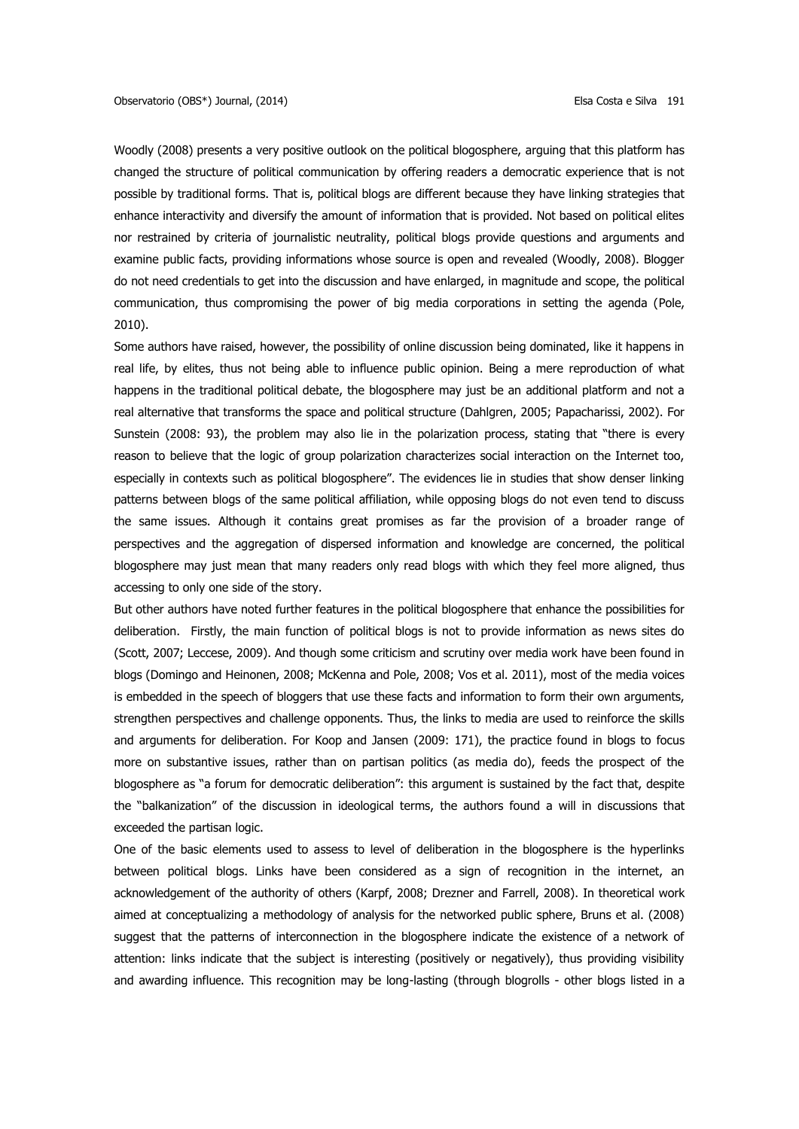Woodly (2008) presents a very positive outlook on the political blogosphere, arguing that this platform has changed the structure of political communication by offering readers a democratic experience that is not possible by traditional forms. That is, political blogs are different because they have linking strategies that enhance interactivity and diversify the amount of information that is provided. Not based on political elites nor restrained by criteria of journalistic neutrality, political blogs provide questions and arguments and examine public facts, providing informations whose source is open and revealed (Woodly, 2008). Blogger do not need credentials to get into the discussion and have enlarged, in magnitude and scope, the political communication, thus compromising the power of big media corporations in setting the agenda (Pole, 2010).

Some authors have raised, however, the possibility of online discussion being dominated, like it happens in real life, by elites, thus not being able to influence public opinion. Being a mere reproduction of what happens in the traditional political debate, the blogosphere may just be an additional platform and not a real alternative that transforms the space and political structure (Dahlgren, 2005; Papacharissi, 2002). For Sunstein (2008: 93), the problem may also lie in the polarization process, stating that "there is every reason to believe that the logic of group polarization characterizes social interaction on the Internet too, especially in contexts such as political blogosphere". The evidences lie in studies that show denser linking patterns between blogs of the same political affiliation, while opposing blogs do not even tend to discuss the same issues. Although it contains great promises as far the provision of a broader range of perspectives and the aggregation of dispersed information and knowledge are concerned, the political blogosphere may just mean that many readers only read blogs with which they feel more aligned, thus accessing to only one side of the story.

But other authors have noted further features in the political blogosphere that enhance the possibilities for deliberation. Firstly, the main function of political blogs is not to provide information as news sites do (Scott, 2007; Leccese, 2009). And though some criticism and scrutiny over media work have been found in blogs (Domingo and Heinonen, 2008; McKenna and Pole, 2008; Vos et al. 2011), most of the media voices is embedded in the speech of bloggers that use these facts and information to form their own arguments, strengthen perspectives and challenge opponents. Thus, the links to media are used to reinforce the skills and arguments for deliberation. For Koop and Jansen (2009: 171), the practice found in blogs to focus more on substantive issues, rather than on partisan politics (as media do), feeds the prospect of the blogosphere as "a forum for democratic deliberation": this argument is sustained by the fact that, despite the "balkanization" of the discussion in ideological terms, the authors found a will in discussions that exceeded the partisan logic.

One of the basic elements used to assess to level of deliberation in the blogosphere is the hyperlinks between political blogs. Links have been considered as a sign of recognition in the internet, an acknowledgement of the authority of others (Karpf, 2008; Drezner and Farrell, 2008). In theoretical work aimed at conceptualizing a methodology of analysis for the networked public sphere, Bruns et al. (2008) suggest that the patterns of interconnection in the blogosphere indicate the existence of a network of attention: links indicate that the subject is interesting (positively or negatively), thus providing visibility and awarding influence. This recognition may be long-lasting (through blogrolls - other blogs listed in a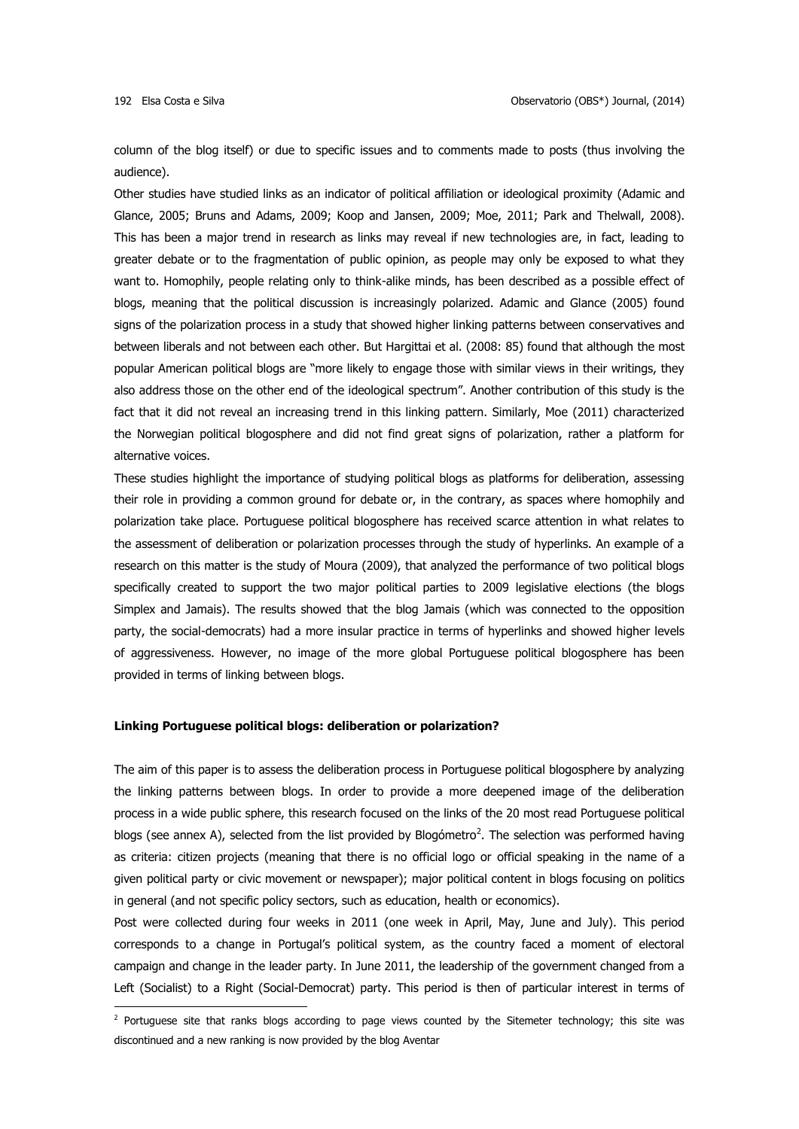**.** 

column of the blog itself) or due to specific issues and to comments made to posts (thus involving the audience).

Other studies have studied links as an indicator of political affiliation or ideological proximity (Adamic and Glance, 2005; Bruns and Adams, 2009; Koop and Jansen, 2009; Moe, 2011; Park and Thelwall, 2008). This has been a major trend in research as links may reveal if new technologies are, in fact, leading to greater debate or to the fragmentation of public opinion, as people may only be exposed to what they want to. Homophily, people relating only to think-alike minds, has been described as a possible effect of blogs, meaning that the political discussion is increasingly polarized. Adamic and Glance (2005) found signs of the polarization process in a study that showed higher linking patterns between conservatives and between liberals and not between each other. But Hargittai et al. (2008: 85) found that although the most popular American political blogs are "more likely to engage those with similar views in their writings, they also address those on the other end of the ideological spectrum". Another contribution of this study is the fact that it did not reveal an increasing trend in this linking pattern. Similarly, Moe (2011) characterized the Norwegian political blogosphere and did not find great signs of polarization, rather a platform for alternative voices.

These studies highlight the importance of studying political blogs as platforms for deliberation, assessing their role in providing a common ground for debate or, in the contrary, as spaces where homophily and polarization take place. Portuguese political blogosphere has received scarce attention in what relates to the assessment of deliberation or polarization processes through the study of hyperlinks. An example of a research on this matter is the study of Moura (2009), that analyzed the performance of two political blogs specifically created to support the two major political parties to 2009 legislative elections (the blogs Simplex and Jamais). The results showed that the blog Jamais (which was connected to the opposition party, the social-democrats) had a more insular practice in terms of hyperlinks and showed higher levels of aggressiveness. However, no image of the more global Portuguese political blogosphere has been provided in terms of linking between blogs.

## **Linking Portuguese political blogs: deliberation or polarization?**

The aim of this paper is to assess the deliberation process in Portuguese political blogosphere by analyzing the linking patterns between blogs. In order to provide a more deepened image of the deliberation process in a wide public sphere, this research focused on the links of the 20 most read Portuguese political blogs (see annex A), selected from the list provided by Blogómetro<sup>2</sup>. The selection was performed having as criteria: citizen projects (meaning that there is no official logo or official speaking in the name of a given political party or civic movement or newspaper); major political content in blogs focusing on politics in general (and not specific policy sectors, such as education, health or economics).

Post were collected during four weeks in 2011 (one week in April, May, June and July). This period corresponds to a change in Portugal's political system, as the country faced a moment of electoral campaign and change in the leader party. In June 2011, the leadership of the government changed from a Left (Socialist) to a Right (Social-Democrat) party. This period is then of particular interest in terms of

<sup>&</sup>lt;sup>2</sup> Portuguese site that ranks blogs according to page views counted by the Sitemeter technology; this site was discontinued and a new ranking is now provided by the blog Aventar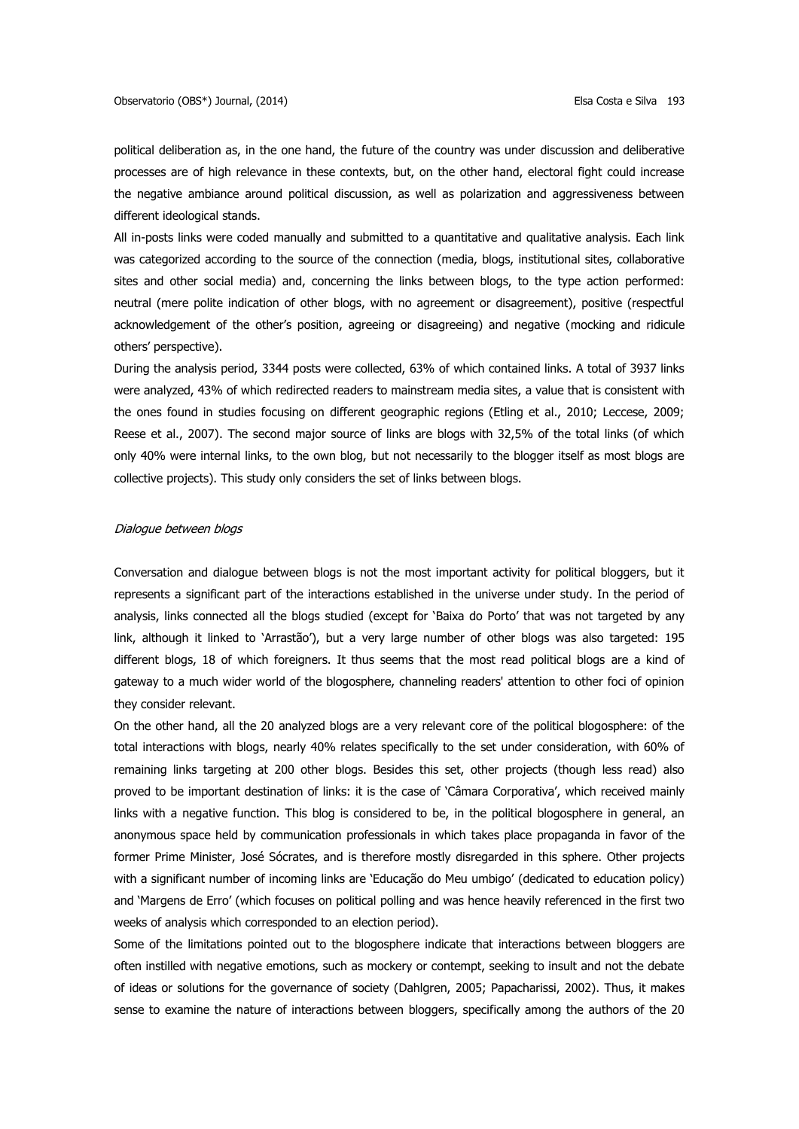political deliberation as, in the one hand, the future of the country was under discussion and deliberative processes are of high relevance in these contexts, but, on the other hand, electoral fight could increase the negative ambiance around political discussion, as well as polarization and aggressiveness between different ideological stands.

All in-posts links were coded manually and submitted to a quantitative and qualitative analysis. Each link was categorized according to the source of the connection (media, blogs, institutional sites, collaborative sites and other social media) and, concerning the links between blogs, to the type action performed: neutral (mere polite indication of other blogs, with no agreement or disagreement), positive (respectful acknowledgement of the other's position, agreeing or disagreeing) and negative (mocking and ridicule others' perspective).

During the analysis period, 3344 posts were collected, 63% of which contained links. A total of 3937 links were analyzed, 43% of which redirected readers to mainstream media sites, a value that is consistent with the ones found in studies focusing on different geographic regions (Etling et al., 2010; Leccese, 2009; Reese et al., 2007). The second major source of links are blogs with 32,5% of the total links (of which only 40% were internal links, to the own blog, but not necessarily to the blogger itself as most blogs are collective projects). This study only considers the set of links between blogs.

#### Dialogue between blogs

Conversation and dialogue between blogs is not the most important activity for political bloggers, but it represents a significant part of the interactions established in the universe under study. In the period of analysis, links connected all the blogs studied (except for 'Baixa do Porto' that was not targeted by any link, although it linked to 'Arrastão'), but a very large number of other blogs was also targeted: 195 different blogs, 18 of which foreigners. It thus seems that the most read political blogs are a kind of gateway to a much wider world of the blogosphere, channeling readers' attention to other foci of opinion they consider relevant.

On the other hand, all the 20 analyzed blogs are a very relevant core of the political blogosphere: of the total interactions with blogs, nearly 40% relates specifically to the set under consideration, with 60% of remaining links targeting at 200 other blogs. Besides this set, other projects (though less read) also proved to be important destination of links: it is the case of 'Câmara Corporativa', which received mainly links with a negative function. This blog is considered to be, in the political blogosphere in general, an anonymous space held by communication professionals in which takes place propaganda in favor of the former Prime Minister, José Sócrates, and is therefore mostly disregarded in this sphere. Other projects with a significant number of incoming links are 'Educação do Meu umbigo' (dedicated to education policy) and 'Margens de Erro' (which focuses on political polling and was hence heavily referenced in the first two weeks of analysis which corresponded to an election period).

Some of the limitations pointed out to the blogosphere indicate that interactions between bloggers are often instilled with negative emotions, such as mockery or contempt, seeking to insult and not the debate of ideas or solutions for the governance of society (Dahlgren, 2005; Papacharissi, 2002). Thus, it makes sense to examine the nature of interactions between bloggers, specifically among the authors of the 20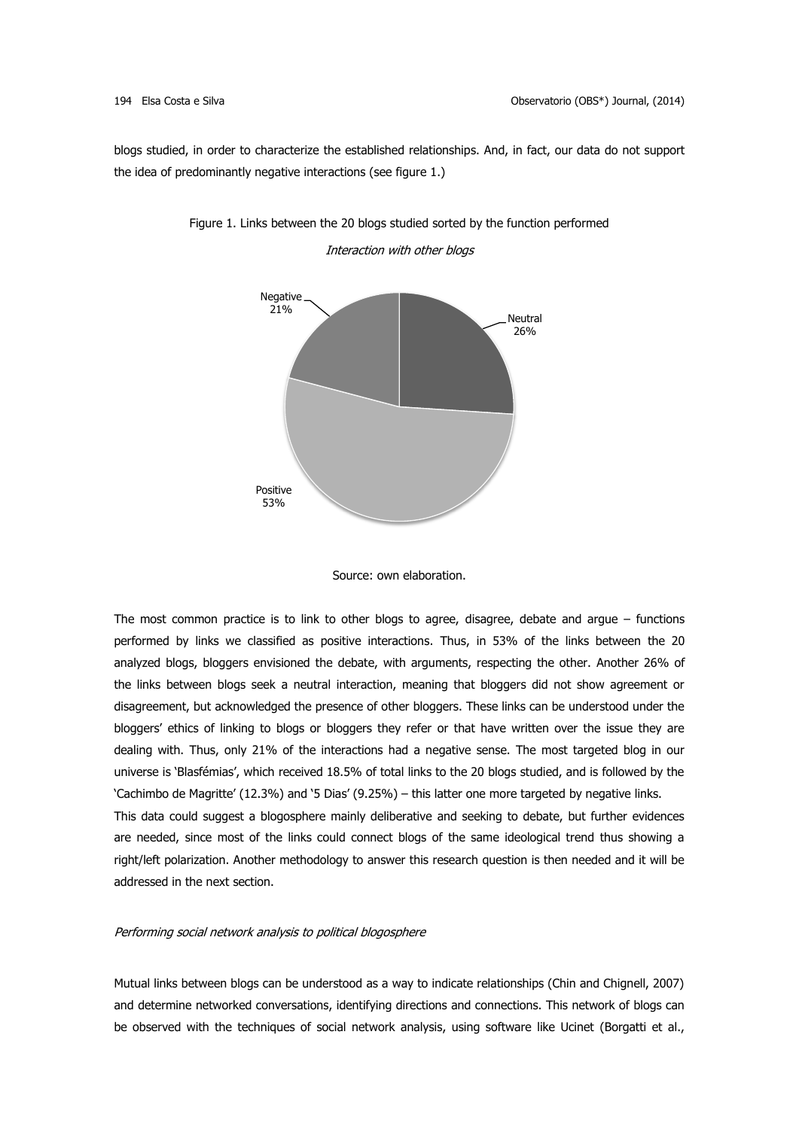blogs studied, in order to characterize the established relationships. And, in fact, our data do not support the idea of predominantly negative interactions (see figure 1.)



# Figure 1. Links between the 20 blogs studied sorted by the function performed Interaction with other blogs



The most common practice is to link to other blogs to agree, disagree, debate and argue – functions performed by links we classified as positive interactions. Thus, in 53% of the links between the 20 analyzed blogs, bloggers envisioned the debate, with arguments, respecting the other. Another 26% of the links between blogs seek a neutral interaction, meaning that bloggers did not show agreement or disagreement, but acknowledged the presence of other bloggers. These links can be understood under the bloggers' ethics of linking to blogs or bloggers they refer or that have written over the issue they are dealing with. Thus, only 21% of the interactions had a negative sense. The most targeted blog in our universe is 'Blasfémias', which received 18.5% of total links to the 20 blogs studied, and is followed by the 'Cachimbo de Magritte' (12.3%) and '5 Dias' (9.25%) – this latter one more targeted by negative links. This data could suggest a blogosphere mainly deliberative and seeking to debate, but further evidences are needed, since most of the links could connect blogs of the same ideological trend thus showing a right/left polarization. Another methodology to answer this research question is then needed and it will be addressed in the next section.

## Performing social network analysis to political blogosphere

Mutual links between blogs can be understood as a way to indicate relationships (Chin and Chignell, 2007) and determine networked conversations, identifying directions and connections. This network of blogs can be observed with the techniques of social network analysis, using software like Ucinet (Borgatti et al.,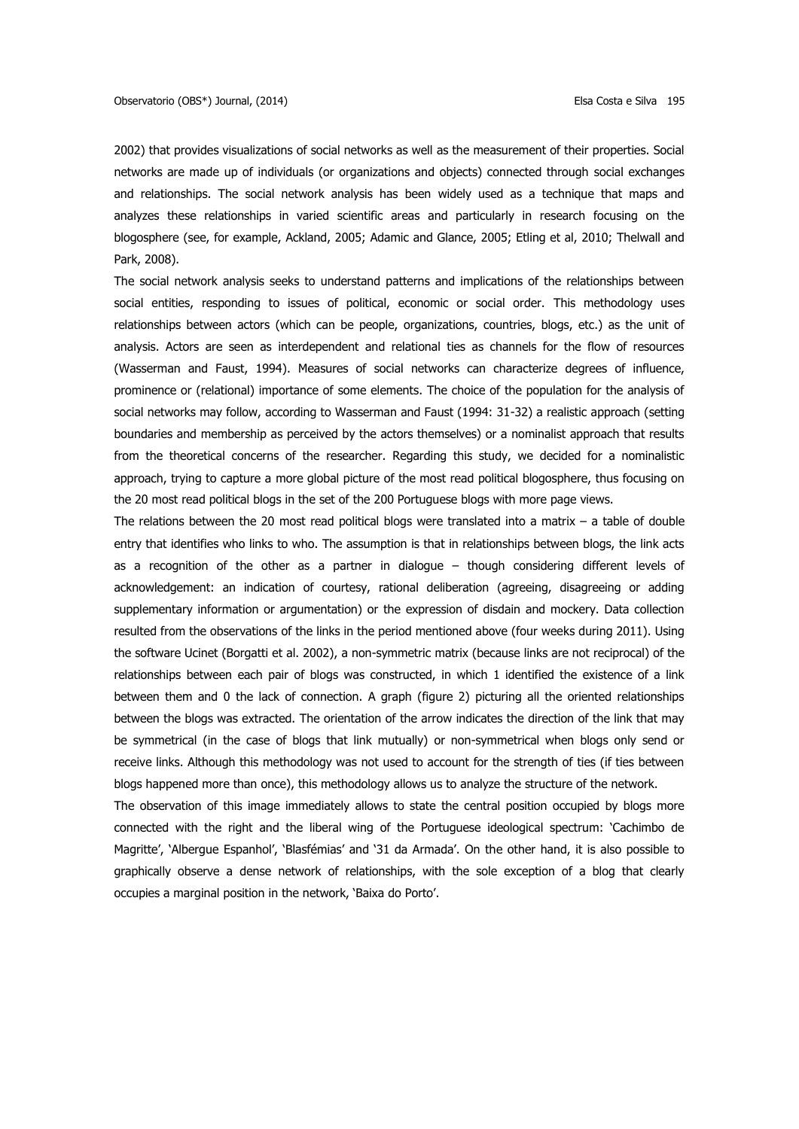2002) that provides visualizations of social networks as well as the measurement of their properties. Social networks are made up of individuals (or organizations and objects) connected through social exchanges and relationships. The social network analysis has been widely used as a technique that maps and analyzes these relationships in varied scientific areas and particularly in research focusing on the blogosphere (see, for example, Ackland, 2005; Adamic and Glance, 2005; Etling et al, 2010; Thelwall and Park, 2008).

The social network analysis seeks to understand patterns and implications of the relationships between social entities, responding to issues of political, economic or social order. This methodology uses relationships between actors (which can be people, organizations, countries, blogs, etc.) as the unit of analysis. Actors are seen as interdependent and relational ties as channels for the flow of resources (Wasserman and Faust, 1994). Measures of social networks can characterize degrees of influence, prominence or (relational) importance of some elements. The choice of the population for the analysis of social networks may follow, according to Wasserman and Faust (1994: 31-32) a realistic approach (setting boundaries and membership as perceived by the actors themselves) or a nominalist approach that results from the theoretical concerns of the researcher. Regarding this study, we decided for a nominalistic approach, trying to capture a more global picture of the most read political blogosphere, thus focusing on the 20 most read political blogs in the set of the 200 Portuguese blogs with more page views.

The relations between the 20 most read political blogs were translated into a matrix  $-$  a table of double entry that identifies who links to who. The assumption is that in relationships between blogs, the link acts as a recognition of the other as a partner in dialogue – though considering different levels of acknowledgement: an indication of courtesy, rational deliberation (agreeing, disagreeing or adding supplementary information or argumentation) or the expression of disdain and mockery. Data collection resulted from the observations of the links in the period mentioned above (four weeks during 2011). Using the software Ucinet (Borgatti et al. 2002), a non-symmetric matrix (because links are not reciprocal) of the relationships between each pair of blogs was constructed, in which 1 identified the existence of a link between them and 0 the lack of connection. A graph (figure 2) picturing all the oriented relationships between the blogs was extracted. The orientation of the arrow indicates the direction of the link that may be symmetrical (in the case of blogs that link mutually) or non-symmetrical when blogs only send or receive links. Although this methodology was not used to account for the strength of ties (if ties between blogs happened more than once), this methodology allows us to analyze the structure of the network.

The observation of this image immediately allows to state the central position occupied by blogs more connected with the right and the liberal wing of the Portuguese ideological spectrum: 'Cachimbo de Magritte', 'Albergue Espanhol', 'Blasfémias' and '31 da Armada'. On the other hand, it is also possible to graphically observe a dense network of relationships, with the sole exception of a blog that clearly occupies a marginal position in the network, 'Baixa do Porto'.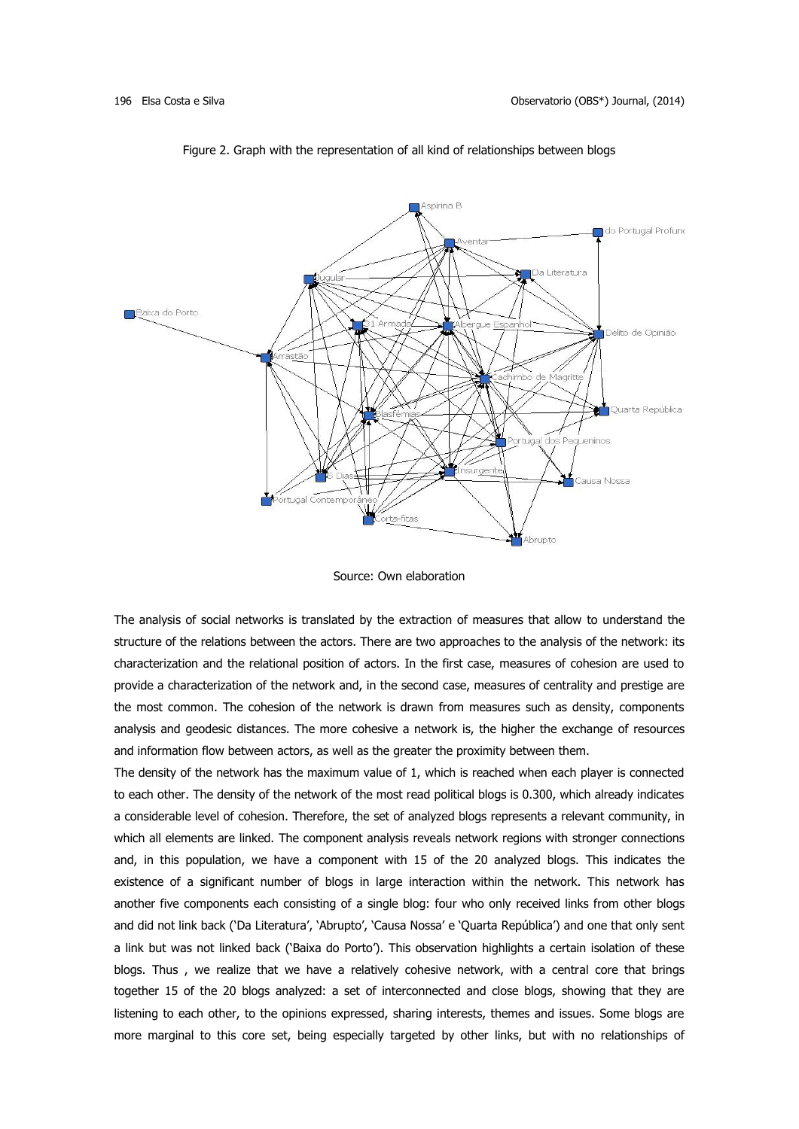

Figure 2. Graph with the representation of all kind of relationships between blogs

Source: Own elaboration

The analysis of social networks is translated by the extraction of measures that allow to understand the structure of the relations between the actors. There are two approaches to the analysis of the network: its characterization and the relational position of actors. In the first case, measures of cohesion are used to provide a characterization of the network and, in the second case, measures of centrality and prestige are the most common. The cohesion of the network is drawn from measures such as density, components analysis and geodesic distances. The more cohesive a network is, the higher the exchange of resources and information flow between actors, as well as the greater the proximity between them.

The density of the network has the maximum value of 1, which is reached when each player is connected to each other. The density of the network of the most read political blogs is 0.300, which already indicates a considerable level of cohesion. Therefore, the set of analyzed blogs represents a relevant community, in which all elements are linked. The component analysis reveals network regions with stronger connections and, in this population, we have a component with 15 of the 20 analyzed blogs. This indicates the existence of a significant number of blogs in large interaction within the network. This network has another five components each consisting of a single blog: four who only received links from other blogs and did not link back ('Da Literatura', 'Abrupto', 'Causa Nossa' e 'Quarta República') and one that only sent a link but was not linked back ('Baixa do Porto'). This observation highlights a certain isolation of these blogs. Thus , we realize that we have a relatively cohesive network, with a central core that brings together 15 of the 20 blogs analyzed: a set of interconnected and close blogs, showing that they are listening to each other, to the opinions expressed, sharing interests, themes and issues. Some blogs are more marginal to this core set, being especially targeted by other links, but with no relationships of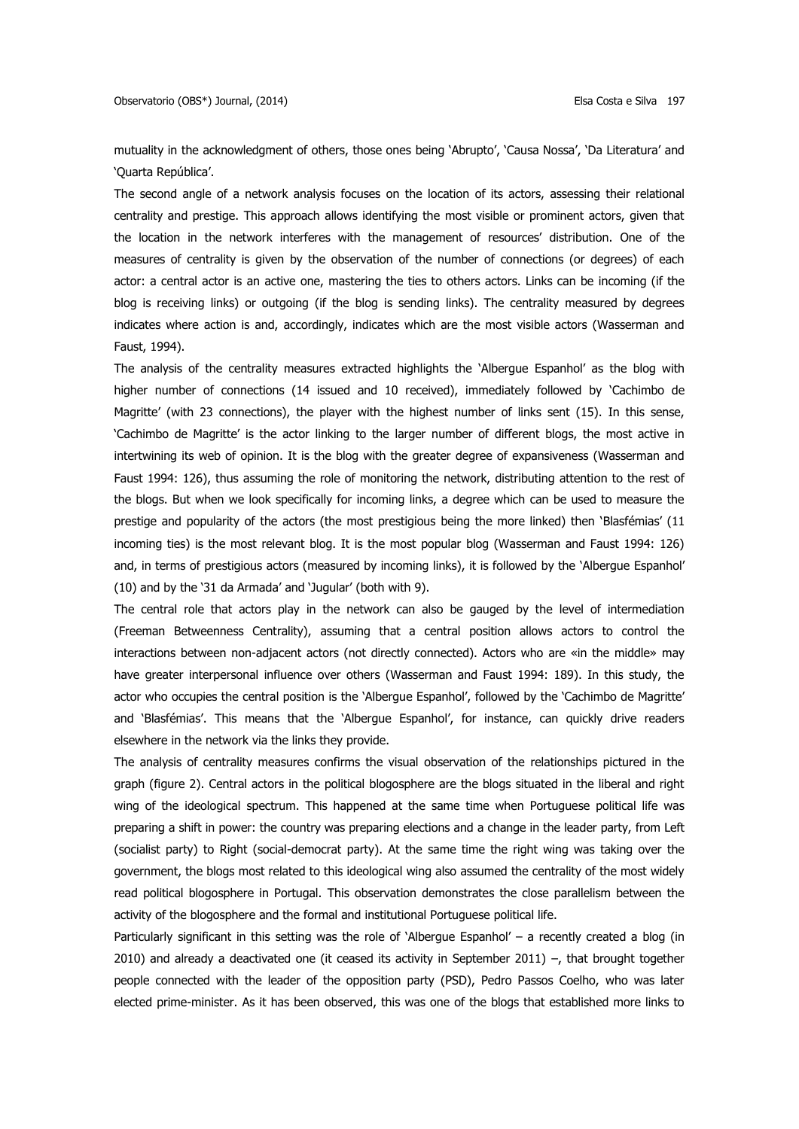mutuality in the acknowledgment of others, those ones being 'Abrupto', 'Causa Nossa', 'Da Literatura' and 'Quarta República'.

The second angle of a network analysis focuses on the location of its actors, assessing their relational centrality and prestige. This approach allows identifying the most visible or prominent actors, given that the location in the network interferes with the management of resources' distribution. One of the measures of centrality is given by the observation of the number of connections (or degrees) of each actor: a central actor is an active one, mastering the ties to others actors. Links can be incoming (if the blog is receiving links) or outgoing (if the blog is sending links). The centrality measured by degrees indicates where action is and, accordingly, indicates which are the most visible actors (Wasserman and Faust, 1994).

The analysis of the centrality measures extracted highlights the 'Albergue Espanhol' as the blog with higher number of connections (14 issued and 10 received), immediately followed by 'Cachimbo de Magritte' (with 23 connections), the player with the highest number of links sent (15). In this sense, 'Cachimbo de Magritte' is the actor linking to the larger number of different blogs, the most active in intertwining its web of opinion. It is the blog with the greater degree of expansiveness (Wasserman and Faust 1994: 126), thus assuming the role of monitoring the network, distributing attention to the rest of the blogs. But when we look specifically for incoming links, a degree which can be used to measure the prestige and popularity of the actors (the most prestigious being the more linked) then 'Blasfémias' (11 incoming ties) is the most relevant blog. It is the most popular blog (Wasserman and Faust 1994: 126) and, in terms of prestigious actors (measured by incoming links), it is followed by the 'Albergue Espanhol' (10) and by the '31 da Armada' and 'Jugular' (both with 9).

The central role that actors play in the network can also be gauged by the level of intermediation (Freeman Betweenness Centrality), assuming that a central position allows actors to control the interactions between non-adjacent actors (not directly connected). Actors who are «in the middle» may have greater interpersonal influence over others (Wasserman and Faust 1994: 189). In this study, the actor who occupies the central position is the 'Albergue Espanhol', followed by the 'Cachimbo de Magritte' and 'Blasfémias'. This means that the 'Albergue Espanhol', for instance, can quickly drive readers elsewhere in the network via the links they provide.

The analysis of centrality measures confirms the visual observation of the relationships pictured in the graph (figure 2). Central actors in the political blogosphere are the blogs situated in the liberal and right wing of the ideological spectrum. This happened at the same time when Portuguese political life was preparing a shift in power: the country was preparing elections and a change in the leader party, from Left (socialist party) to Right (social-democrat party). At the same time the right wing was taking over the government, the blogs most related to this ideological wing also assumed the centrality of the most widely read political blogosphere in Portugal. This observation demonstrates the close parallelism between the activity of the blogosphere and the formal and institutional Portuguese political life.

Particularly significant in this setting was the role of 'Albergue Espanhol' – a recently created a blog (in 2010) and already a deactivated one (it ceased its activity in September 2011) –, that brought together people connected with the leader of the opposition party (PSD), Pedro Passos Coelho, who was later elected prime-minister. As it has been observed, this was one of the blogs that established more links to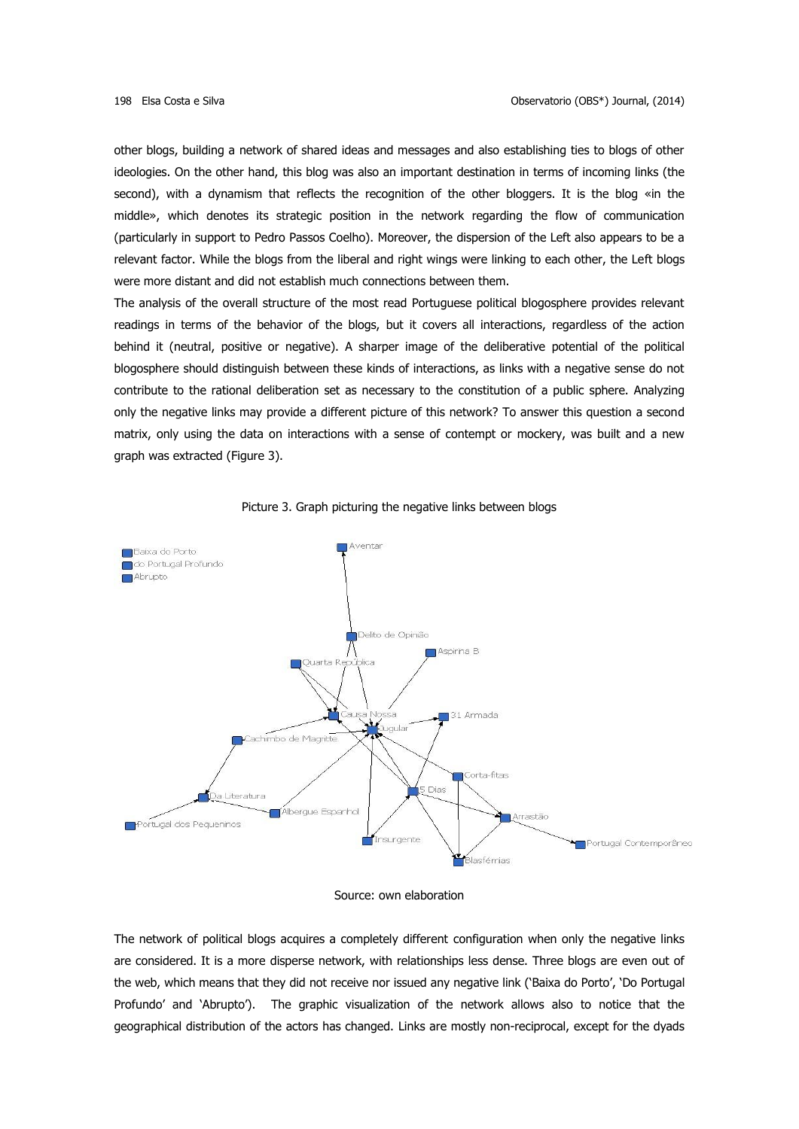other blogs, building a network of shared ideas and messages and also establishing ties to blogs of other ideologies. On the other hand, this blog was also an important destination in terms of incoming links (the second), with a dynamism that reflects the recognition of the other bloggers. It is the blog «in the middle», which denotes its strategic position in the network regarding the flow of communication (particularly in support to Pedro Passos Coelho). Moreover, the dispersion of the Left also appears to be a relevant factor. While the blogs from the liberal and right wings were linking to each other, the Left blogs were more distant and did not establish much connections between them.

The analysis of the overall structure of the most read Portuguese political blogosphere provides relevant readings in terms of the behavior of the blogs, but it covers all interactions, regardless of the action behind it (neutral, positive or negative). A sharper image of the deliberative potential of the political blogosphere should distinguish between these kinds of interactions, as links with a negative sense do not contribute to the rational deliberation set as necessary to the constitution of a public sphere. Analyzing only the negative links may provide a different picture of this network? To answer this question a second matrix, only using the data on interactions with a sense of contempt or mockery, was built and a new graph was extracted (Figure 3).





Source: own elaboration

The network of political blogs acquires a completely different configuration when only the negative links are considered. It is a more disperse network, with relationships less dense. Three blogs are even out of the web, which means that they did not receive nor issued any negative link ('Baixa do Porto', 'Do Portugal Profundo' and 'Abrupto'). The graphic visualization of the network allows also to notice that the geographical distribution of the actors has changed. Links are mostly non-reciprocal, except for the dyads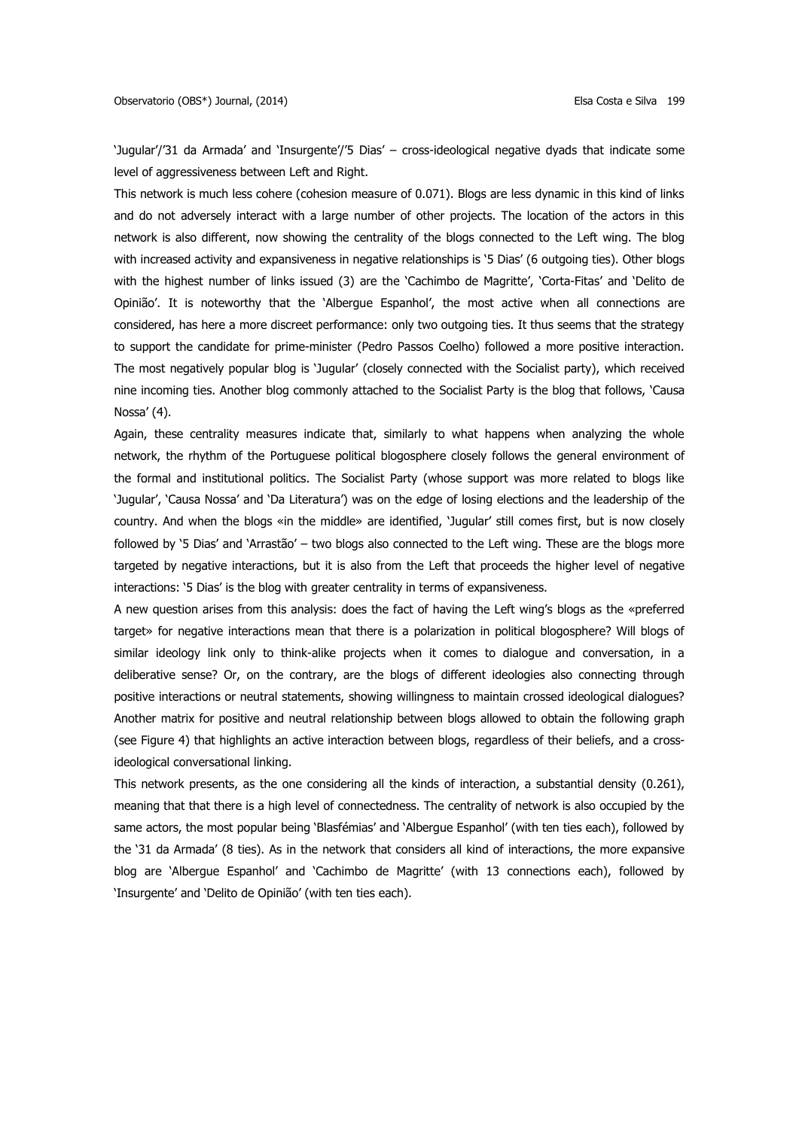'Jugular'/'31 da Armada' and 'Insurgente'/'5 Dias' – cross-ideological negative dyads that indicate some level of aggressiveness between Left and Right.

This network is much less cohere (cohesion measure of 0.071). Blogs are less dynamic in this kind of links and do not adversely interact with a large number of other projects. The location of the actors in this network is also different, now showing the centrality of the blogs connected to the Left wing. The blog with increased activity and expansiveness in negative relationships is '5 Dias' (6 outgoing ties). Other blogs with the highest number of links issued (3) are the 'Cachimbo de Magritte', 'Corta-Fitas' and 'Delito de Opinião'. It is noteworthy that the 'Albergue Espanhol', the most active when all connections are considered, has here a more discreet performance: only two outgoing ties. It thus seems that the strategy to support the candidate for prime-minister (Pedro Passos Coelho) followed a more positive interaction. The most negatively popular blog is 'Jugular' (closely connected with the Socialist party), which received nine incoming ties. Another blog commonly attached to the Socialist Party is the blog that follows, 'Causa Nossa' (4).

Again, these centrality measures indicate that, similarly to what happens when analyzing the whole network, the rhythm of the Portuguese political blogosphere closely follows the general environment of the formal and institutional politics. The Socialist Party (whose support was more related to blogs like 'Jugular', 'Causa Nossa' and 'Da Literatura') was on the edge of losing elections and the leadership of the country. And when the blogs «in the middle» are identified, 'Jugular' still comes first, but is now closely followed by '5 Dias' and 'Arrastão' – two blogs also connected to the Left wing. These are the blogs more targeted by negative interactions, but it is also from the Left that proceeds the higher level of negative interactions: '5 Dias' is the blog with greater centrality in terms of expansiveness.

A new question arises from this analysis: does the fact of having the Left wing's blogs as the «preferred target» for negative interactions mean that there is a polarization in political blogosphere? Will blogs of similar ideology link only to think-alike projects when it comes to dialogue and conversation, in a deliberative sense? Or, on the contrary, are the blogs of different ideologies also connecting through positive interactions or neutral statements, showing willingness to maintain crossed ideological dialogues? Another matrix for positive and neutral relationship between blogs allowed to obtain the following graph (see Figure 4) that highlights an active interaction between blogs, regardless of their beliefs, and a crossideological conversational linking.

This network presents, as the one considering all the kinds of interaction, a substantial density (0.261), meaning that that there is a high level of connectedness. The centrality of network is also occupied by the same actors, the most popular being 'Blasfémias' and 'Albergue Espanhol' (with ten ties each), followed by the '31 da Armada' (8 ties). As in the network that considers all kind of interactions, the more expansive blog are 'Albergue Espanhol' and 'Cachimbo de Magritte' (with 13 connections each), followed by 'Insurgente' and 'Delito de Opinião' (with ten ties each).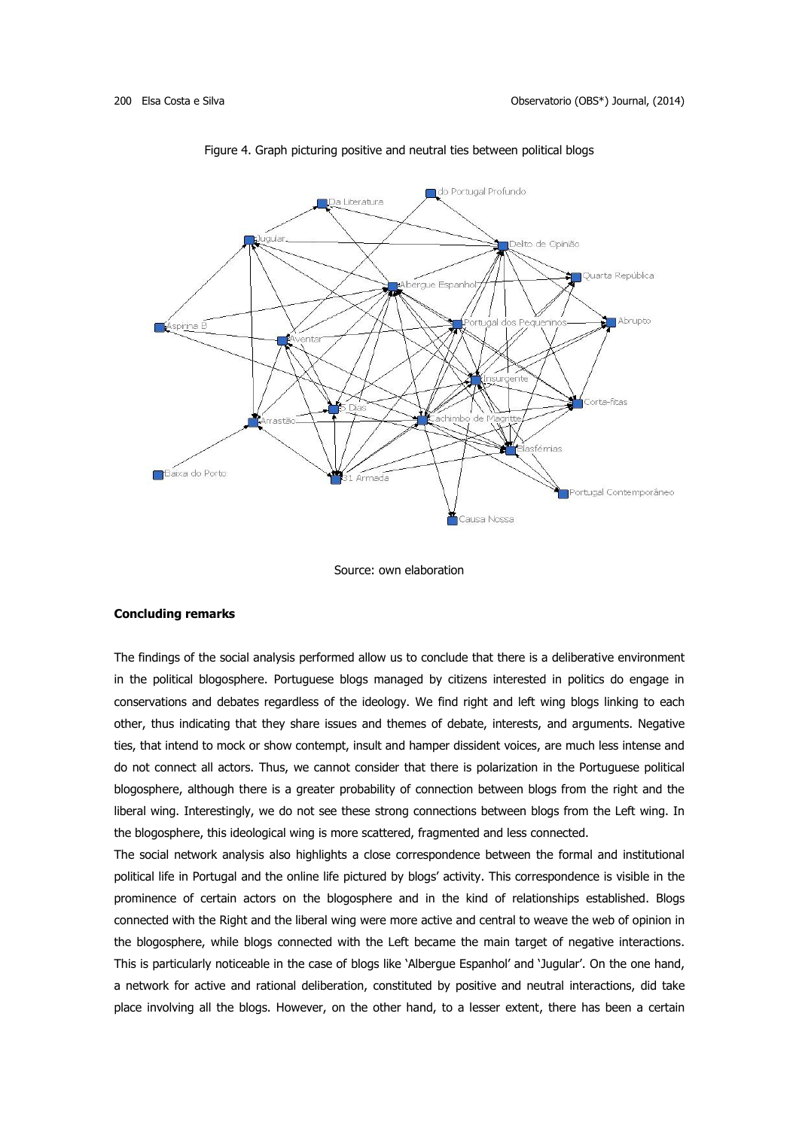

Figure 4. Graph picturing positive and neutral ties between political blogs

#### Source: own elaboration

## **Concluding remarks**

The findings of the social analysis performed allow us to conclude that there is a deliberative environment in the political blogosphere. Portuguese blogs managed by citizens interested in politics do engage in conservations and debates regardless of the ideology. We find right and left wing blogs linking to each other, thus indicating that they share issues and themes of debate, interests, and arguments. Negative ties, that intend to mock or show contempt, insult and hamper dissident voices, are much less intense and do not connect all actors. Thus, we cannot consider that there is polarization in the Portuguese political blogosphere, although there is a greater probability of connection between blogs from the right and the liberal wing. Interestingly, we do not see these strong connections between blogs from the Left wing. In the blogosphere, this ideological wing is more scattered, fragmented and less connected.

The social network analysis also highlights a close correspondence between the formal and institutional political life in Portugal and the online life pictured by blogs' activity. This correspondence is visible in the prominence of certain actors on the blogosphere and in the kind of relationships established. Blogs connected with the Right and the liberal wing were more active and central to weave the web of opinion in the blogosphere, while blogs connected with the Left became the main target of negative interactions. This is particularly noticeable in the case of blogs like 'Albergue Espanhol' and 'Jugular'. On the one hand, a network for active and rational deliberation, constituted by positive and neutral interactions, did take place involving all the blogs. However, on the other hand, to a lesser extent, there has been a certain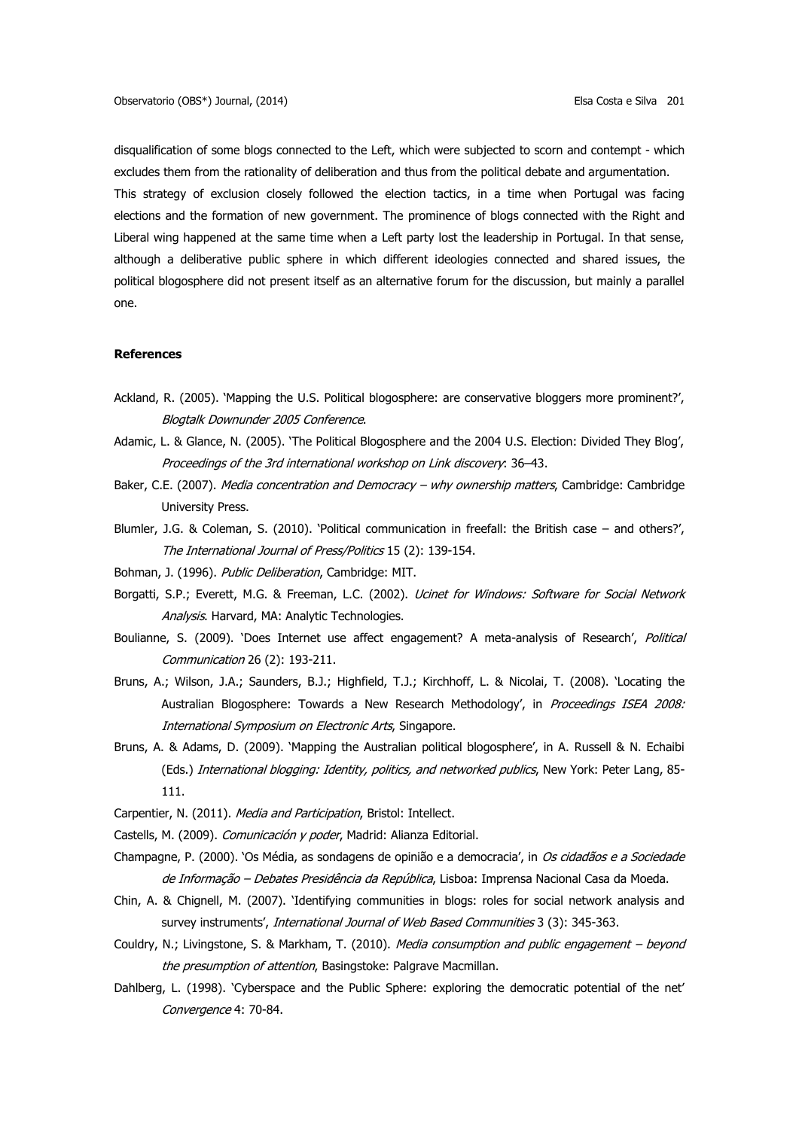disqualification of some blogs connected to the Left, which were subjected to scorn and contempt - which excludes them from the rationality of deliberation and thus from the political debate and argumentation. This strategy of exclusion closely followed the election tactics, in a time when Portugal was facing elections and the formation of new government. The prominence of blogs connected with the Right and Liberal wing happened at the same time when a Left party lost the leadership in Portugal. In that sense, although a deliberative public sphere in which different ideologies connected and shared issues, the political blogosphere did not present itself as an alternative forum for the discussion, but mainly a parallel one.

## **References**

- Ackland, R. (2005). 'Mapping the U.S. Political blogosphere: are conservative bloggers more prominent?', Blogtalk Downunder 2005 Conference.
- Adamic, L. & Glance, N. (2005). 'The Political Blogosphere and the 2004 U.S. Election: Divided They Blog', Proceedings of the 3rd international workshop on Link discovery: 36–43.
- Baker, C.E. (2007). Media concentration and Democracy why ownership matters, Cambridge: Cambridge University Press.
- Blumler, J.G. & Coleman, S. (2010). 'Political communication in freefall: the British case and others?', The International Journal of Press/Politics 15 (2): 139-154.
- Bohman, J. (1996). Public Deliberation, Cambridge: MIT.
- Borgatti, S.P.; Everett, M.G. & Freeman, L.C. (2002). *Ucinet for Windows: Software for Social Network* Analysis. Harvard, MA: Analytic Technologies.
- Boulianne, S. (2009). 'Does Internet use affect engagement? A meta-analysis of Research', Political Communication 26 (2): 193-211.
- Bruns, A.; Wilson, J.A.; Saunders, B.J.; Highfield, T.J.; Kirchhoff, L. & Nicolai, T. (2008). 'Locating the Australian Blogosphere: Towards a New Research Methodology', in Proceedings ISEA 2008: International Symposium on Electronic Arts, Singapore.
- Bruns, A. & Adams, D. (2009). 'Mapping the Australian political blogosphere', in A. Russell & N. Echaibi (Eds.) International blogging: Identity, politics, and networked publics, New York: Peter Lang, 85-111.
- Carpentier, N. (2011). Media and Participation, Bristol: Intellect.
- Castells, M. (2009). Comunicación y poder, Madrid: Alianza Editorial.
- Champagne, P. (2000). 'Os Média, as sondagens de opinião e a democracia', in Os cidadãos e a Sociedade de Informação - Debates Presidência da República, Lisboa: Imprensa Nacional Casa da Moeda.
- Chin, A. & Chignell, M. (2007). 'Identifying communities in blogs: roles for social network analysis and survey instruments', *International Journal of Web Based Communities* 3 (3): 345-363.
- Couldry, N.; Livingstone, S. & Markham, T. (2010). Media consumption and public engagement beyond the presumption of attention, Basingstoke: Palgrave Macmillan.
- Dahlberg, L. (1998). 'Cyberspace and the Public Sphere: exploring the democratic potential of the net' Convergence 4: 70-84.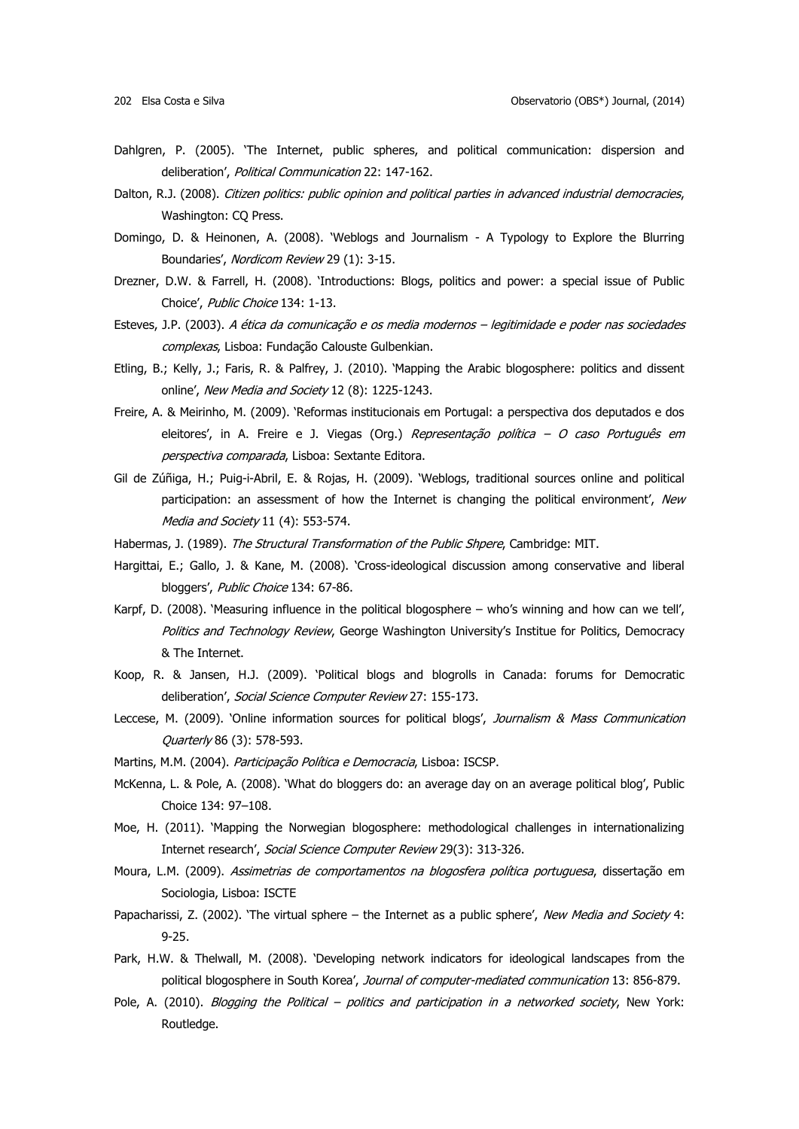- Dahlgren, P. (2005). 'The Internet, public spheres, and political communication: dispersion and deliberation', Political Communication 22: 147-162.
- Dalton, R.J. (2008). Citizen politics: public opinion and political parties in advanced industrial democracies, Washington: CQ Press.
- Domingo, D. & Heinonen, A. (2008). 'Weblogs and Journalism A Typology to Explore the Blurring Boundaries', Nordicom Review 29 (1): 3-15.
- Drezner, D.W. & Farrell, H. (2008). 'Introductions: Blogs, politics and power: a special issue of Public Choice', Public Choice 134: 1-13.
- Esteves, J.P. (2003). A ética da comunicação e os media modernos legitimidade e poder nas sociedades complexas, Lisboa: Fundação Calouste Gulbenkian.
- Etling, B.; Kelly, J.; Faris, R. & Palfrey, J. (2010). 'Mapping the Arabic blogosphere: politics and dissent online', New Media and Society 12 (8): 1225-1243.
- Freire, A. & Meirinho, M. (2009). 'Reformas institucionais em Portugal: a perspectiva dos deputados e dos eleitores', in A. Freire e J. Viegas (Org.) Representação política - O caso Português em perspectiva comparada, Lisboa: Sextante Editora.
- Gil de Zúñiga, H.; Puig-i-Abril, E. & Rojas, H. (2009). 'Weblogs, traditional sources online and political participation: an assessment of how the Internet is changing the political environment', New Media and Society 11 (4): 553-574.
- Habermas, J. (1989). The Structural Transformation of the Public Shpere, Cambridge: MIT.
- Hargittai, E.; Gallo, J. & Kane, M. (2008). 'Cross-ideological discussion among conservative and liberal bloggers', Public Choice 134: 67-86.
- Karpf, D. (2008). 'Measuring influence in the political blogosphere who's winning and how can we tell', Politics and Technology Review, George Washington University's Institue for Politics, Democracy & The Internet.
- Koop, R. & Jansen, H.J. (2009). 'Political blogs and blogrolls in Canada: forums for Democratic deliberation', Social Science Computer Review 27: 155-173.
- Leccese, M. (2009). 'Online information sources for political blogs', Journalism & Mass Communication Quarterly 86 (3): 578-593.
- Martins, M.M. (2004). Participação Política e Democracia, Lisboa: ISCSP.
- McKenna, L. & Pole, A. (2008). 'What do bloggers do: an average day on an average political blog', Public Choice 134: 97–108.
- Moe, H. (2011). 'Mapping the Norwegian blogosphere: methodological challenges in internationalizing Internet research', Social Science Computer Review 29(3): 313-326.
- Moura, L.M. (2009). Assimetrias de comportamentos na blogosfera política portuguesa, dissertação em Sociologia, Lisboa: ISCTE
- Papacharissi, Z. (2002). 'The virtual sphere the Internet as a public sphere', New Media and Society 4: 9-25.
- Park, H.W. & Thelwall, M. (2008). 'Developing network indicators for ideological landscapes from the political blogosphere in South Korea', Journal of computer-mediated communication 13: 856-879.
- Pole, A. (2010). Blogging the Political politics and participation in a networked society, New York: Routledge.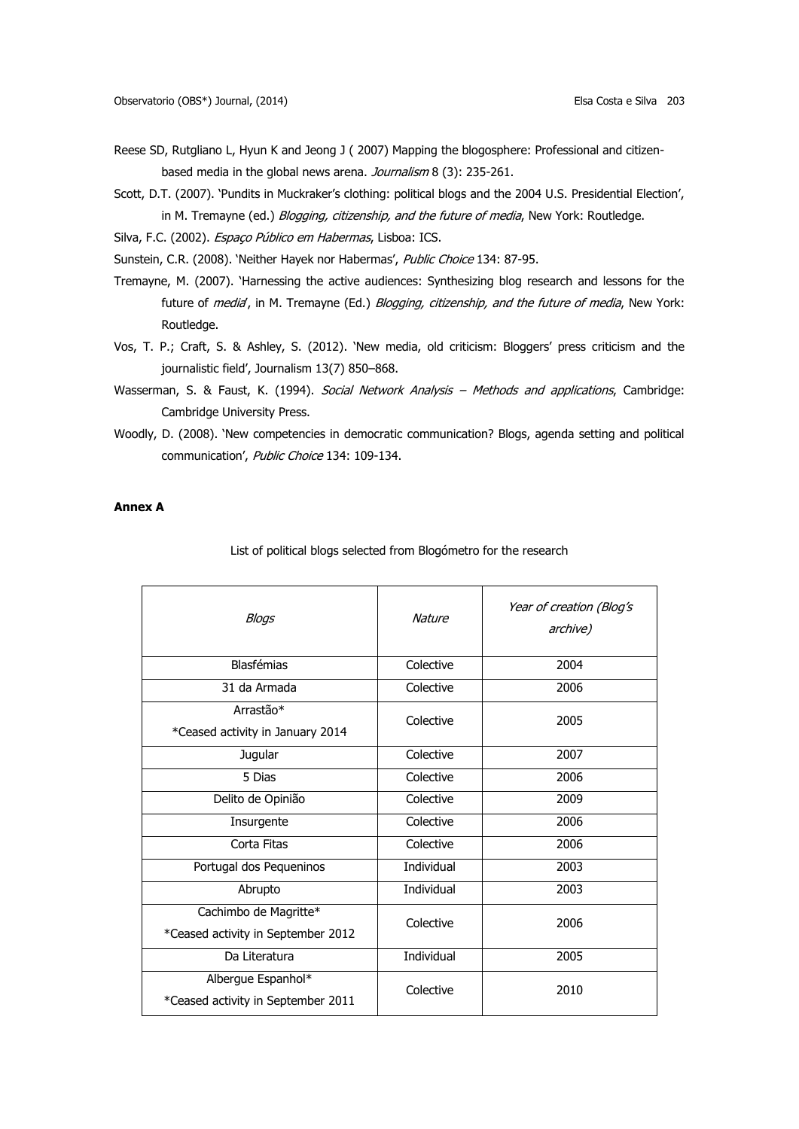- Reese SD, Rutgliano L, Hyun K and Jeong J ( 2007) Mapping the blogosphere: Professional and citizenbased media in the global news arena. Journalism 8 (3): 235-261.
- Scott, D.T. (2007). 'Pundits in Muckraker's clothing: political blogs and the 2004 U.S. Presidential Election', in M. Tremayne (ed.) Blogging, citizenship, and the future of media, New York: Routledge.
- Silva, F.C. (2002). Espaço Público em Habermas, Lisboa: ICS.
- Sunstein, C.R. (2008). 'Neither Hayek nor Habermas', Public Choice 134: 87-95.
- Tremayne, M. (2007). 'Harnessing the active audiences: Synthesizing blog research and lessons for the future of media, in M. Tremayne (Ed.) Blogging, citizenship, and the future of media, New York: Routledge.
- Vos, T. P.; Craft, S. & Ashley, S. (2012). 'New media, old criticism: Bloggers' press criticism and the journalistic field', Journalism 13(7) 850–868.
- Wasserman, S. & Faust, K. (1994). Social Network Analysis Methods and applications, Cambridge: Cambridge University Press.
- Woodly, D. (2008). 'New competencies in democratic communication? Blogs, agenda setting and political communication', Public Choice 134: 109-134.

## **Annex A**

List of political blogs selected from Blogómetro for the research

| Blogs                                                       | <b>Nature</b> | Year of creation (Blog's<br>archive) |
|-------------------------------------------------------------|---------------|--------------------------------------|
| <b>Blasfémias</b>                                           | Colective     | 2004                                 |
| 31 da Armada                                                | Colective     | 2006                                 |
| Arrastão*<br>*Ceased activity in January 2014               | Colective     | 2005                                 |
| Jugular                                                     | Colective     | 2007                                 |
| 5 Dias                                                      | Colective     | 2006                                 |
| Delito de Opinião                                           | Colective     | 2009                                 |
| Insurgente                                                  | Colective     | 2006                                 |
| Corta Fitas                                                 | Colective     | 2006                                 |
| Portugal dos Pequeninos                                     | Individual    | 2003                                 |
| Abrupto                                                     | Individual    | 2003                                 |
| Cachimbo de Magritte*<br>*Ceased activity in September 2012 | Colective     | 2006                                 |
| Da Literatura                                               | Individual    | 2005                                 |
| Albergue Espanhol*<br>*Ceased activity in September 2011    | Colective     | 2010                                 |